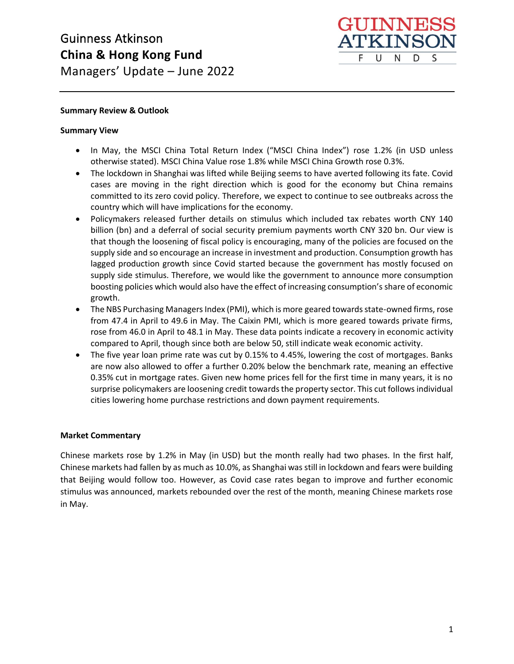

## **Summary Review & Outlook**

#### **Summary View**

- In May, the MSCI China Total Return Index ("MSCI China Index") rose 1.2% (in USD unless otherwise stated). MSCI China Value rose 1.8% while MSCI China Growth rose 0.3%.
- The lockdown in Shanghai was lifted while Beijing seems to have averted following its fate. Covid cases are moving in the right direction which is good for the economy but China remains committed to its zero covid policy. Therefore, we expect to continue to see outbreaks across the country which will have implications for the economy.
- Policymakers released further details on stimulus which included tax rebates worth CNY 140 billion (bn) and a deferral of social security premium payments worth CNY 320 bn. Our view is that though the loosening of fiscal policy is encouraging, many of the policies are focused on the supply side and so encourage an increase in investment and production. Consumption growth has lagged production growth since Covid started because the government has mostly focused on supply side stimulus. Therefore, we would like the government to announce more consumption boosting policies which would also have the effect of increasing consumption's share of economic growth.
- The NBS Purchasing Managers Index (PMI), which is more geared towards state-owned firms, rose from 47.4 in April to 49.6 in May. The Caixin PMI, which is more geared towards private firms, rose from 46.0 in April to 48.1 in May. These data points indicate a recovery in economic activity compared to April, though since both are below 50, still indicate weak economic activity.
- The five year loan prime rate was cut by 0.15% to 4.45%, lowering the cost of mortgages. Banks are now also allowed to offer a further 0.20% below the benchmark rate, meaning an effective 0.35% cut in mortgage rates. Given new home prices fell for the first time in many years, it is no surprise policymakers are loosening credit towards the property sector. This cut follows individual cities lowering home purchase restrictions and down payment requirements.

## **Market Commentary**

Chinese markets rose by 1.2% in May (in USD) but the month really had two phases. In the first half, Chinese markets had fallen by as much as 10.0%, as Shanghai was still in lockdown and fears were building that Beijing would follow too. However, as Covid case rates began to improve and further economic stimulus was announced, markets rebounded over the rest of the month, meaning Chinese markets rose in May.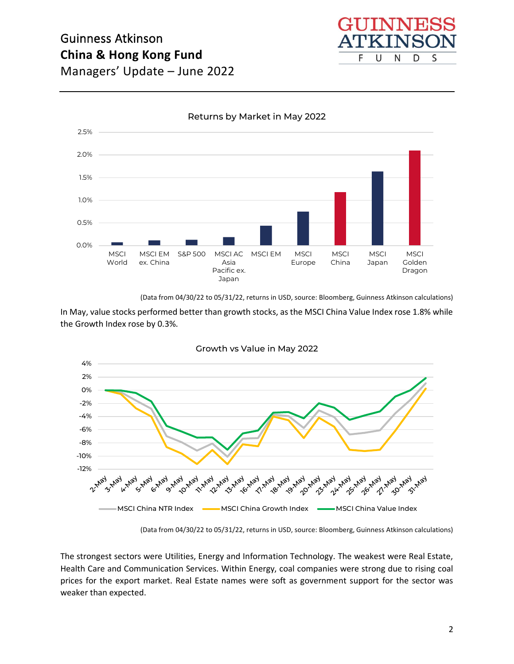



(Data from 04/30/22 to 05/31/22, returns in USD, source: Bloomberg, Guinness Atkinson calculations)

In May, value stocks performed better than growth stocks, as the MSCI China Value Index rose 1.8% while the Growth Index rose by 0.3%.



Growth vs Value in May 2022

(Data from 04/30/22 to 05/31/22, returns in USD, source: Bloomberg, Guinness Atkinson calculations)

The strongest sectors were Utilities, Energy and Information Technology. The weakest were Real Estate, Health Care and Communication Services. Within Energy, coal companies were strong due to rising coal prices for the export market. Real Estate names were soft as government support for the sector was weaker than expected.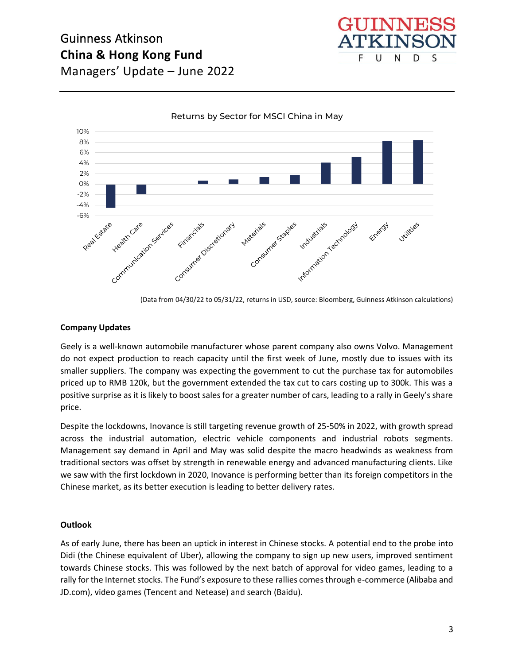



Returns by Sector for MSCI China in May

(Data from 04/30/22 to 05/31/22, returns in USD, source: Bloomberg, Guinness Atkinson calculations)

#### **Company Updates**

Geely is a well-known automobile manufacturer whose parent company also owns Volvo. Management do not expect production to reach capacity until the first week of June, mostly due to issues with its smaller suppliers. The company was expecting the government to cut the purchase tax for automobiles priced up to RMB 120k, but the government extended the tax cut to cars costing up to 300k. This was a positive surprise as it is likely to boost sales for a greater number of cars, leading to a rally in Geely's share price.

Despite the lockdowns, Inovance is still targeting revenue growth of 25-50% in 2022, with growth spread across the industrial automation, electric vehicle components and industrial robots segments. Management say demand in April and May was solid despite the macro headwinds as weakness from traditional sectors was offset by strength in renewable energy and advanced manufacturing clients. Like we saw with the first lockdown in 2020, Inovance is performing better than its foreign competitors in the Chinese market, as its better execution is leading to better delivery rates.

#### **Outlook**

As of early June, there has been an uptick in interest in Chinese stocks. A potential end to the probe into Didi (the Chinese equivalent of Uber), allowing the company to sign up new users, improved sentiment towards Chinese stocks. This was followed by the next batch of approval for video games, leading to a rally for the Internet stocks. The Fund's exposure to these rallies comes through e-commerce (Alibaba and JD.com), video games (Tencent and Netease) and search (Baidu).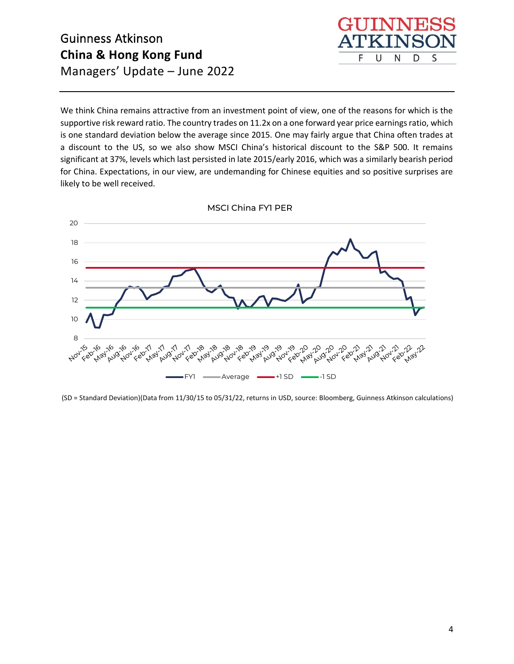

We think China remains attractive from an investment point of view, one of the reasons for which is the supportive risk reward ratio. The country trades on 11.2x on a one forward year price earnings ratio, which is one standard deviation below the average since 2015. One may fairly argue that China often trades at a discount to the US, so we also show MSCI China's historical discount to the S&P 500. It remains significant at 37%, levels which last persisted in late 2015/early 2016, which was a similarly bearish period for China. Expectations, in our view, are undemanding for Chinese equities and so positive surprises are likely to be well received.



MSCI China FY1 PER

(SD = Standard Deviation)(Data from 11/30/15 to 05/31/22, returns in USD, source: Bloomberg, Guinness Atkinson calculations)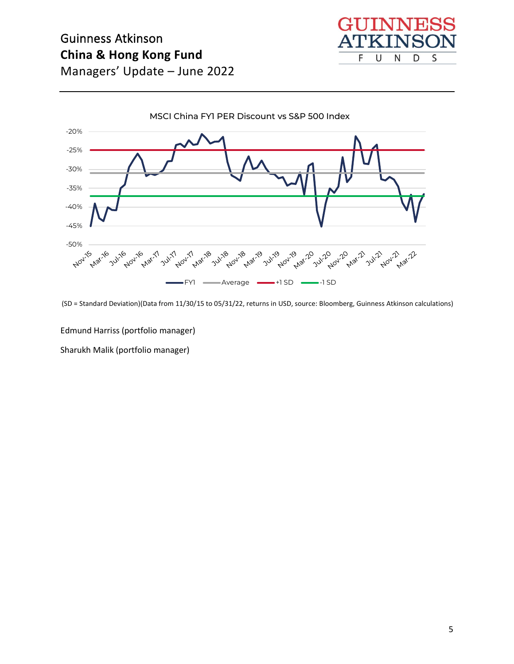# Guinness Atkinson **China & Hong Kong Fund**







(SD = Standard Deviation)(Data from 11/30/15 to 05/31/22, returns in USD, source: Bloomberg, Guinness Atkinson calculations)

Edmund Harriss (portfolio manager)

Sharukh Malik (portfolio manager)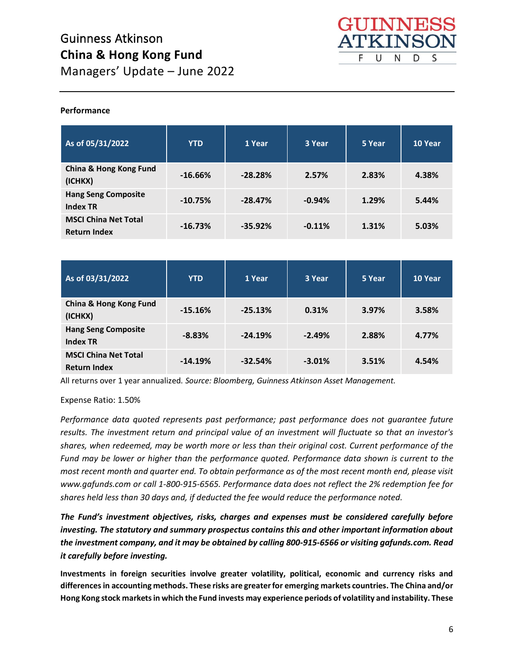

#### **Performance**

| As of 05/31/2022                                   | <b>YTD</b> | 1 Year    | 3 Year   | 5 Year | 10 Year |
|----------------------------------------------------|------------|-----------|----------|--------|---------|
| <b>China &amp; Hong Kong Fund</b><br>(ICHKX)       | $-16.66%$  | $-28.28%$ | 2.57%    | 2.83%  | 4.38%   |
| <b>Hang Seng Composite</b><br><b>Index TR</b>      | $-10.75%$  | $-28.47%$ | $-0.94%$ | 1.29%  | 5.44%   |
| <b>MSCI China Net Total</b><br><b>Return Index</b> | $-16.73%$  | $-35.92%$ | $-0.11%$ | 1.31%  | 5.03%   |

| As of 03/31/2022                                   | <b>YTD</b> | 1 Year    | 3 Year   | 5 Year | 10 Year |
|----------------------------------------------------|------------|-----------|----------|--------|---------|
| China & Hong Kong Fund<br>(ICHKX)                  | $-15.16%$  | $-25.13%$ | 0.31%    | 3.97%  | 3.58%   |
| <b>Hang Seng Composite</b><br><b>Index TR</b>      | $-8.83%$   | $-24.19%$ | $-2.49%$ | 2.88%  | 4.77%   |
| <b>MSCI China Net Total</b><br><b>Return Index</b> | $-14.19%$  | $-32.54%$ | $-3.01%$ | 3.51%  | 4.54%   |

All returns over 1 year annualized. *Source: Bloomberg, Guinness Atkinson Asset Management.*

Expense Ratio: 1.50%

*Performance data quoted represents past performance; past performance does not guarantee future results. The investment return and principal value of an investment will fluctuate so that an investor's shares, when redeemed, may be worth more or less than their original cost. Current performance of the Fund may be lower or higher than the performance quoted. Performance data shown is current to the most recent month and quarter end. To obtain performance as of the most recent month end, please visit www.gafunds.com or call 1-800-915-6565. Performance data does not reflect the 2% redemption fee for shares held less than 30 days and, if deducted the fee would reduce the performance noted.*

*The Fund's investment objectives, risks, charges and expenses must be considered carefully before investing. The statutory and summary prospectus contains this and other important information about the investment company, and it may be obtained by calling 800-915-6566 or visiting gafunds.com. Read it carefully before investing.*

**Investments in foreign securities involve greater volatility, political, economic and currency risks and differences in accounting methods. These risks are greater for emerging markets countries. The China and/or Hong Kong stock markets in which the Fund invests may experience periods of volatility and instability. These**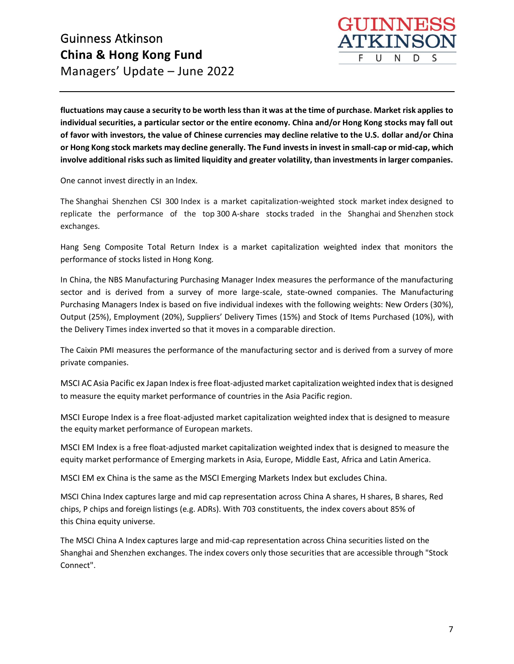

**fluctuations may cause a security to be worth less than it was at the time of purchase. Market risk applies to individual securities, a particular sector or the entire economy. China and/or Hong Kong stocks may fall out of favor with investors, the value of Chinese currencies may decline relative to the U.S. dollar and/or China or Hong Kong stock markets may decline generally. The Fund invests in invest in small-cap or mid-cap, which involve additional risks such as limited liquidity and greater volatility, than investments in larger companies.**

One cannot invest directly in an Index.

The Shanghai Shenzhen CSI 300 Index is a market capitalization-weighted stock market index designed to replicate the performance of the top 300 A-share stocks traded in the Shanghai and Shenzhen stock exchanges.

Hang Seng Composite Total Return Index is a market capitalization weighted index that monitors the performance of stocks listed in Hong Kong.

In China, the NBS Manufacturing Purchasing Manager Index measures the performance of the manufacturing sector and is derived from a survey of more large-scale, state-owned companies. The Manufacturing Purchasing Managers Index is based on five individual indexes with the following weights: New Orders (30%), Output (25%), Employment (20%), Suppliers' Delivery Times (15%) and Stock of Items Purchased (10%), with the Delivery Times index inverted so that it moves in a comparable direction.

The Caixin PMI measures the performance of the manufacturing sector and is derived from a survey of more private companies.

MSCI AC Asia Pacific ex Japan Index is free float-adjusted market capitalization weighted index that is designed to measure the equity market performance of countries in the Asia Pacific region.

MSCI Europe Index is a free float-adjusted market capitalization weighted index that is designed to measure the equity market performance of European markets.

MSCI EM Index is a free float-adjusted market capitalization weighted index that is designed to measure the equity market performance of Emerging markets in Asia, Europe, Middle East, Africa and Latin America.

MSCI EM ex China is the same as the MSCI Emerging Markets Index but excludes China.

MSCI China Index captures large and mid cap representation across China A shares, H shares, B shares, Red chips, P chips and foreign listings (e.g. ADRs). With 703 constituents, the index covers about 85% of this China equity universe.

The MSCI China A Index captures large and mid-cap representation across China securities listed on the Shanghai and Shenzhen exchanges. The index covers only those securities that are accessible through "Stock Connect".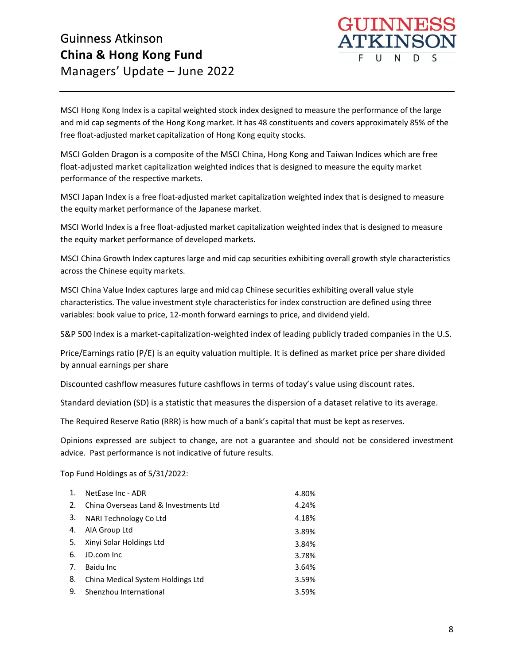

MSCI Hong Kong Index is a capital weighted stock index designed to measure the performance of the large and mid cap segments of the Hong Kong market. It has 48 constituents and covers approximately 85% of the free float-adjusted market capitalization of Hong Kong equity stocks.

MSCI Golden Dragon is a composite of the MSCI China, Hong Kong and Taiwan Indices which are free float-adjusted market capitalization weighted indices that is designed to measure the equity market performance of the respective markets.

MSCI Japan Index is a free float-adjusted market capitalization weighted index that is designed to measure the equity market performance of the Japanese market.

MSCI World Index is a free float-adjusted market capitalization weighted index that is designed to measure the equity market performance of developed markets.   

MSCI China Growth Index captures large and mid cap securities exhibiting overall growth style characteristics across the Chinese equity markets.

MSCI China Value Index captures large and mid cap Chinese securities exhibiting overall value style characteristics. The value investment style characteristics for index construction are defined using three variables: book value to price, 12-month forward earnings to price, and dividend yield.

S&P 500 Index is a market-capitalization-weighted index of leading publicly traded companies in the U.S.

Price/Earnings ratio (P/E) is an equity valuation multiple. It is defined as market price per share divided by annual earnings per share

Discounted cashflow measures future cashflows in terms of today's value using discount rates.

Standard deviation (SD) is a statistic that measures the dispersion of a dataset relative to its average.

The Required Reserve Ratio (RRR) is how much of a bank's capital that must be kept as reserves.

Opinions expressed are subject to change, are not a guarantee and should not be considered investment advice. Past performance is not indicative of future results.

Top Fund Holdings as of 5/31/2022:

| $\mathbf{1}$ . | NetEase Inc - ADR                     | 4.80% |
|----------------|---------------------------------------|-------|
| 2.             | China Overseas Land & Investments Ltd | 4.24% |
| 3.             | NARI Technology Co Ltd                | 4.18% |
| 4.             | AIA Group Ltd                         | 3.89% |
| 5.             | Xinyi Solar Holdings Ltd              | 3.84% |
| 6.             | JD.com Inc.                           | 3.78% |
| 7.             | Baidu Inc                             | 3.64% |
| 8.             | China Medical System Holdings Ltd     | 3.59% |
| 9.             | Shenzhou International                | 3.59% |